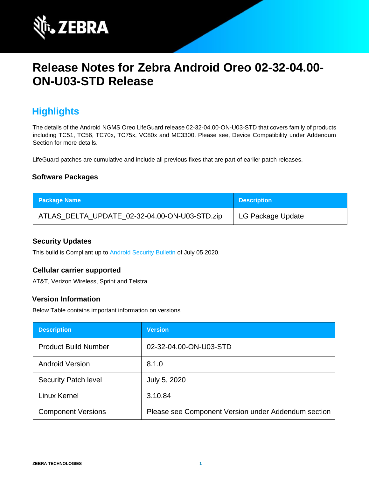

# **Release Notes for Zebra Android Oreo 02-32-04.00- ON-U03-STD Release**

## **Highlights**

The details of the Android NGMS Oreo LifeGuard release 02-32-04.00-ON-U03-STD that covers family of products including TC51, TC56, TC70x, TC75x, VC80x and MC3300. Please see, Device Compatibility under Addendum Section for more details.

LifeGuard patches are cumulative and include all previous fixes that are part of earlier patch releases.

### **Software Packages**

| <b>Package Name</b>                           | <b>Description</b> |
|-----------------------------------------------|--------------------|
| ATLAS_DELTA_UPDATE_02-32-04.00-ON-U03-STD.zip | LG Package Update  |

### **Security Updates**

This build is Compliant up to [Android Security Bulletin](https://source.android.com/security/bulletin/) of July 05 2020.

#### **Cellular carrier supported**

AT&T, Verizon Wireless, Sprint and Telstra.

### **Version Information**

Below Table contains important information on versions

| <b>Description</b>          | <b>Version</b>                                      |
|-----------------------------|-----------------------------------------------------|
| <b>Product Build Number</b> | 02-32-04.00-ON-U03-STD                              |
| <b>Android Version</b>      | 8.1.0                                               |
| <b>Security Patch level</b> | July 5, 2020                                        |
| Linux Kernel                | 3.10.84                                             |
| <b>Component Versions</b>   | Please see Component Version under Addendum section |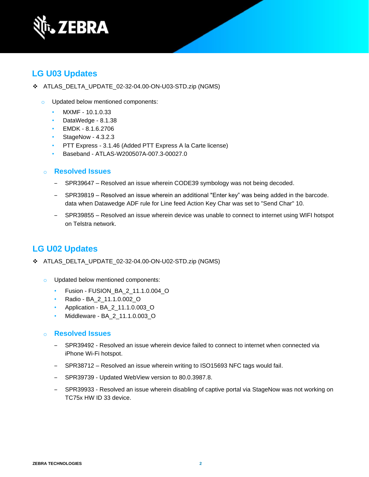

### **LG U03 Updates**

- ❖ ATLAS\_DELTA\_UPDATE\_02-32-04.00-ON-U03-STD.zip (NGMS)
	- o Updated below mentioned components:
		- MXMF 10.1.0.33
		- DataWedge 8.1.38
		- EMDK 8.1.6.2706
		- StageNow 4.3.2.3
		- PTT Express 3.1.46 (Added PTT Express A la Carte license)
		- Baseband ATLAS-W200507A-007.3-00027.0
	- o **Resolved Issues** 
		- SPR39647 Resolved an issue wherein CODE39 symbology was not being decoded.
		- ‒ SPR39819 Resolved an issue wherein an additional "Enter key" was being added in the barcode. data when Datawedge ADF rule for Line feed Action Key Char was set to "Send Char" 10.
		- ‒ SPR39855 Resolved an issue wherein device was unable to connect to internet using WIFI hotspot on Telstra network.

### **LG U02 Updates**

- ❖ ATLAS\_DELTA\_UPDATE\_02-32-04.00-ON-U02-STD.zip (NGMS)
	- o Updated below mentioned components:
		- Fusion FUSION\_BA\_2\_11.1.0.004\_O
		- Radio BA\_2\_11.1.0.002\_O
		- Application BA\_2\_11.1.0.003\_O
		- Middleware BA\_2\_11.1.0.003\_O
	- o **Resolved Issues** 
		- ‒ SPR39492 Resolved an issue wherein device failed to connect to internet when connected via iPhone Wi-Fi hotspot.
		- ‒ SPR38712 Resolved an issue wherein writing to ISO15693 NFC tags would fail.
		- SPR39739 Updated WebView version to 80.0.3987.8.
		- ‒ SPR39933 Resolved an issue wherein disabling of captive portal via StageNow was not working on TC75x HW ID 33 device.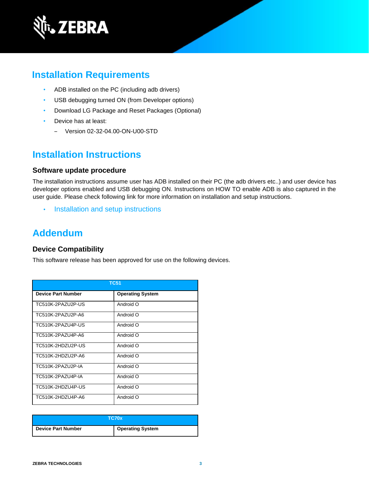

## **Installation Requirements**

- ADB installed on the PC (including adb drivers)
- USB debugging turned ON (from Developer options)
- Download LG Package and Reset Packages (Optional)
- Device has at least:
	- ‒ Version 02-32-04.00-ON-U00-STD

### **Installation Instructions**

#### **Software update procedure**

The installation instructions assume user has ADB installed on their PC (the adb drivers etc..) and user device has developer options enabled and USB debugging ON. Instructions on HOW TO enable ADB is also captured in the user guide. Please check following link for more information on installation and setup instructions.

• [Installation and setup instructions](https://www.zebra.com/content/dam/zebra_new_ia/en-us/software/operating-system/tc5x-tc7x-shared-operating-system/atlas_oreo-os-update-instructions.pdf)

### **Addendum**

#### **Device Compatibility**

This software release has been approved for use on the following devices.

| <b>TC51</b>               |                         |  |
|---------------------------|-------------------------|--|
| <b>Device Part Number</b> | <b>Operating System</b> |  |
| TC510K-2PAZU2P-US         | Android O               |  |
| TC510K-2PAZU2P-A6         | Android O               |  |
| TC510K-2PAZU4P-US         | Android O               |  |
| TC510K-2PAZU4P-A6         | Android O               |  |
| TC510K-2HDZU2P-US         | Android O               |  |
| TC510K-2HD7U2P-A6         | Android O               |  |
| TC510K-2PA7U2P-IA         | Android O               |  |
| TC510K-2PAZU4P-IA         | Android O               |  |
| TC510K-2HDZU4P-US         | Android O               |  |
| TC510K-2HDZU4P-A6         | Android O               |  |

| <b>TC70x</b>       |                         |
|--------------------|-------------------------|
| Device Part Number | <b>Operating System</b> |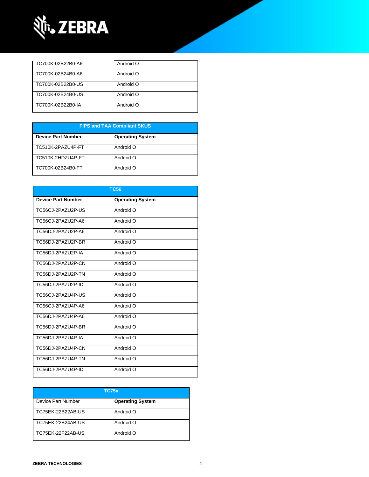

| TC700K-02B22B0-A6 | Android O |
|-------------------|-----------|
| TC700K-02B24B0-A6 | Android O |
| TC700K-02B22B0-US | Android O |
| TC700K-02B24B0-US | Android O |
| TC700K-02B22B0-IA | Android O |

| <b>FIPS and TAA Compliant SKUS</b> |                         |  |
|------------------------------------|-------------------------|--|
| <b>Device Part Number</b>          | <b>Operating System</b> |  |
| TC510K-2PAZU4P-FT                  | Android O               |  |
| TC510K-2HDZU4P-FT                  | Android O               |  |
| TC700K-02B24B0-FT                  | Android O               |  |

| <b>TC56</b>               |                         |  |
|---------------------------|-------------------------|--|
| <b>Device Part Number</b> | <b>Operating System</b> |  |
| TC56CJ-2PAZU2P-US         | Android O               |  |
| TC56CJ-2PAZU2P-A6         | Android O               |  |
| TC56DJ-2PAZU2P-A6         | Android O               |  |
| TC56DJ-2PAZU2P-BR         | Android O               |  |
| TC56DJ-2PAZU2P-IA         | Android O               |  |
| TC56DJ-2PAZU2P-CN         | Android O               |  |
| TC56DJ-2PAZU2P-TN         | Android O               |  |
| TC56DJ-2PAZU2P-ID         | Android O               |  |
| TC56CJ-2PAZU4P-US         | Android O               |  |
| TC56CJ-2PAZU4P-A6         | Android O               |  |
| TC56DJ-2PAZU4P-A6         | Android O               |  |
| TC56DJ-2PAZU4P-BR         | Android O               |  |
| TC56DJ-2PAZU4P-IA         | Android O               |  |
| TC56DJ-2PAZU4P-CN         | Android O               |  |
| TC56DJ-2PAZU4P-TN         | Android O               |  |
| TC56DJ-2PAZU4P-ID         | Android O               |  |

| TC75x                     |                         |  |
|---------------------------|-------------------------|--|
| <b>Device Part Number</b> | <b>Operating System</b> |  |
| TC75EK-22B22AB-US         | Android O               |  |
| TC75EK-22B24AB-US         | Android O               |  |
| TC75EK-22F22AB-US         | Android O               |  |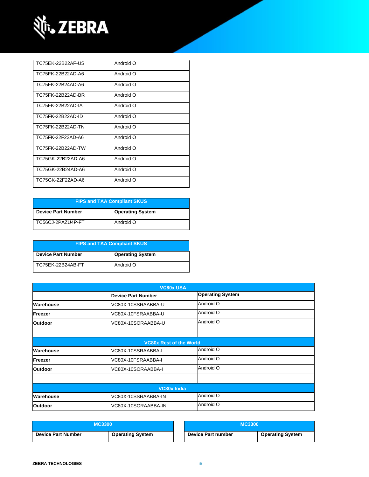

| TC75FK-22B22AF-US | Android O |
|-------------------|-----------|
| TC75FK-22B22AD-A6 | Android O |
| TC75FK-22B24AD-A6 | Android O |
| TC75FK-22B22AD-BR | Android O |
| TC75FK-22B22AD-IA | Android O |
| TC75FK-22B22AD-ID | Android O |
| TC75FK-22B22AD-TN | Android O |
| TC75FK-22F22AD-A6 | Android O |
| TC75FK-22B22AD-TW | Android O |
| TC75GK-22B22AD-A6 | Android O |
| TC75GK-22B24AD-A6 | Android O |
| TC75GK-22F22AD-A6 | Android O |

| <b>FIPS and TAA Compliant SKUS</b> |                         |  |
|------------------------------------|-------------------------|--|
| <b>Device Part Number</b>          | <b>Operating System</b> |  |
| TC56CJ-2PAZU4P-FT                  | Android O               |  |

| <b>FIPS and TAA Compliant SKUS</b> |                         |  |
|------------------------------------|-------------------------|--|
| <b>Device Part Number</b>          | <b>Operating System</b> |  |
| TC75EK-22B24AB-FT                  | Android O               |  |

| <b>VC80x USA</b>               |                           |                         |
|--------------------------------|---------------------------|-------------------------|
|                                | <b>Device Part Number</b> | <b>Operating System</b> |
| Warehouse                      | VC80X-10SSRAABBA-U        | Android O               |
| Freezer                        | VC80X-10FSRAABBA-U        | Android O               |
| <b>Outdoor</b>                 | VC80X-10SORAABBA-U        | Android O               |
|                                |                           |                         |
| <b>VC80x Rest of the World</b> |                           |                         |
| <b>Warehouse</b>               | VC80X-10SSRAABBA-I        | Android O               |
| Freezer                        | VC80X-10FSRAABBA-I        | Android O               |
| <b>Outdoor</b>                 | VC80X-10SORAABBA-I        | Android O               |
|                                |                           |                         |
| <b>VC80x India</b>             |                           |                         |
| Warehouse                      | VC80X-10SSRAABBA-IN       | Android O               |
| Outdoor                        | VC80X-10SORAABBA-IN       | Android O               |

| <b>MC3300</b>             |                         | MC3300             |                         |
|---------------------------|-------------------------|--------------------|-------------------------|
| <b>Device Part Number</b> | <b>Operating System</b> | Device Part number | <b>Operating System</b> |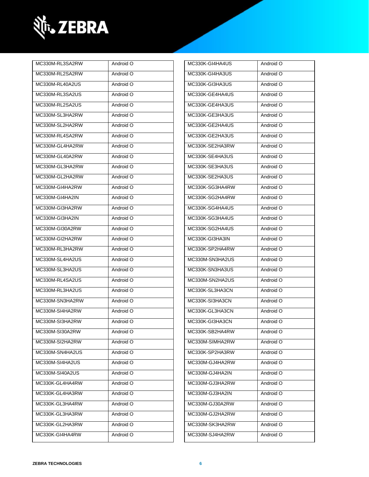

| MC330M-RL3SA2RW | Android O | MC330K-GI4HA4US | Android O |
|-----------------|-----------|-----------------|-----------|
| MC330M-RL2SA2RW | Android O | MC330K-GI4HA3US | Android O |
| MC330M-RL40A2US | Android O | MC330K-GI3HA3US | Android O |
| MC330M-RL3SA2US | Android O | MC330K-GE4HA4US | Android O |
| MC330M-RL2SA2US | Android O | MC330K-GE4HA3US | Android O |
| MC330M-SL3HA2RW | Android O | MC330K-GE3HA3US | Android O |
| MC330M-SL2HA2RW | Android O | MC330K-GE2HA4US | Android O |
| MC330M-RL4SA2RW | Android O | MC330K-GE2HA3US | Android O |
| MC330M-GL4HA2RW | Android O | MC330K-SE2HA3RW | Android O |
| MC330M-GL40A2RW | Android O | MC330K-SE4HA3US | Android O |
| MC330M-GL3HA2RW | Android O | MC330K-SE3HA3US | Android O |
| MC330M-GL2HA2RW | Android O | MC330K-SE2HA3US | Android O |
| MC330M-GI4HA2RW | Android O | MC330K-SG3HA4RW | Android O |
| MC330M-GI4HA2IN | Android O | MC330K-SG2HA4RW | Android O |
| MC330M-GI3HA2RW | Android O | MC330K-SG4HA4US | Android O |
| MC330M-GI3HA2IN | Android O | MC330K-SG3HA4US | Android O |
| MC330M-GI30A2RW | Android O | MC330K-SG2HA4US | Android O |
| MC330M-GI2HA2RW | Android O | MC330K-GI3HA3IN | Android O |
| MC330M-RL3HA2RW | Android O | MC330K-SP2HA4RW | Android O |
| MC330M-SL4HA2US | Android O | MC330M-SN3HA2US | Android O |
| MC330M-SL3HA2US | Android O | MC330K-SN3HA3US | Android O |
| MC330M-RL4SA2US | Android O | MC330M-SN2HA2US | Android O |
| MC330M-RL3HA2US | Android O | MC330K-SL3HA3CN | Android O |
| MC330M-SN3HA2RW | Android O | MC330K-SI3HA3CN | Android O |
| MC330M-SI4HA2RW | Android O | MC330K-GL3HA3CN | Android O |
| MC330M-SI3HA2RW | Android O | MC330K-GI3HA3CN | Android O |
| MC330M-SI30A2RW | Android O | MC330K-SB2HA4RW | Android O |
| MC330M-SI2HA2RW | Android O | MC330M-SIMHA2RW | Android O |
| MC330M-SN4HA2US | Android O | MC330K-SP2HA3RW | Android O |
| MC330M-SI4HA2US | Android O | MC330M-GJ4HA2RW | Android O |
| MC330M-SI40A2US | Android O | MC330M-GJ4HA2IN | Android O |
| MC330K-GL4HA4RW | Android O | MC330M-GJ3HA2RW | Android O |
| MC330K-GL4HA3RW | Android O | MC330M-GJ3HA2IN | Android O |
| MC330K-GL3HA4RW | Android O | MC330M-GJ30A2RW | Android O |
| MC330K-GL3HA3RW | Android O | MC330M-GJ2HA2RW | Android O |
| MC330K-GL2HA3RW | Android O | MC330M-SK3HA2RW | Android O |
| MC330K-GI4HA4RW | Android O | MC330M-SJ4HA2RW | Android O |

| MC330K-GI4HA4US | Android O |
|-----------------|-----------|
| MC330K-GI4HA3US | Android O |
| MC330K-GI3HA3US | Android O |
| MC330K-GE4HA4US | Android O |
| MC330K-GE4HA3US | Android O |
| MC330K-GE3HA3US | Android O |
| MC330K-GE2HA4US | Android O |
| MC330K-GE2HA3US | Android O |
| MC330K-SE2HA3RW | Android O |
| MC330K-SE4HA3US | Android O |
| MC330K-SE3HA3US | Android O |
| MC330K-SE2HA3US | Android O |
| MC330K-SG3HA4RW | Android O |
| MC330K-SG2HA4RW | Android O |
| MC330K-SG4HA4US | Android O |
| MC330K-SG3HA4US | Android O |
| MC330K-SG2HA4US | Android O |
| MC330K-GI3HA3IN | Android O |
| MC330K-SP2HA4RW | Android O |
| MC330M-SN3HA2US | Android O |
| MC330K-SN3HA3US | Android O |
| MC330M-SN2HA2US | Android O |
| MC330K-SL3HA3CN | Android O |
| MC330K-SI3HA3CN | Android O |
| MC330K-GL3HA3CN | Android O |
| MC330K-GI3HA3CN | Android O |
| MC330K-SB2HA4RW | Android O |
| MC330M-SIMHA2RW | Android O |
| MC330K-SP2HA3RW | Android O |
| MC330M-GJ4HA2RW | Android O |
| MC330M-GJ4HA2IN | Android O |
| MC330M-GJ3HA2RW | Android O |
| MC330M-GJ3HA2IN | Android O |
| MC330M-GJ30A2RW | Android O |
| MC330M-GJ2HA2RW | Android O |
| MC330M-SK3HA2RW | Android O |
| MC330M-SJ4HA2RW | Android O |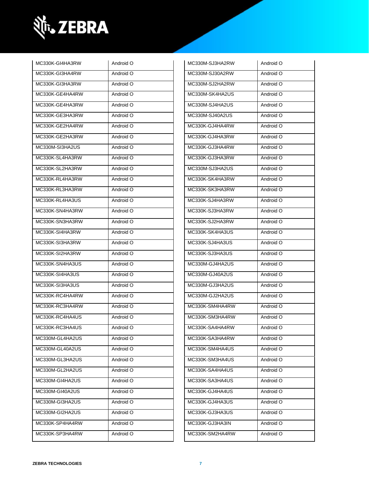

| Android O | MC330M-SJ3HA2RW | Android O |
|-----------|-----------------|-----------|
| Android O | MC330M-SJ30A2RW | Android O |
| Android O | MC330M-SJ2HA2RW | Android O |
| Android O | MC330M-SK4HA2US | Android O |
| Android O | MC330M-SJ4HA2US | Android O |
| Android O | MC330M-SJ40A2US | Android O |
| Android O | MC330K-GJ4HA4RW | Android O |
| Android O | MC330K-GJ4HA3RW | Android O |
| Android O | MC330K-GJ3HA4RW | Android O |
| Android O | MC330K-GJ3HA3RW | Android O |
| Android O | MC330M-SJ3HA2US | Android O |
| Android O | MC330K-SK4HA3RW | Android O |
| Android O | MC330K-SK3HA3RW | Android O |
| Android O | MC330K-SJ4HA3RW | Android O |
| Android O | MC330K-SJ3HA3RW | Android O |
| Android O | MC330K-SJ2HA3RW | Android O |
| Android O | MC330K-SK4HA3US | Android O |
| Android O | MC330K-SJ4HA3US | Android O |
| Android O | MC330K-SJ3HA3US | Android O |
| Android O | MC330M-GJ4HA2US | Android O |
| Android O | MC330M-GJ40A2US | Android O |
| Android O | MC330M-GJ3HA2US | Android O |
| Android O | MC330M-GJ2HA2US | Android O |
| Android O | MC330K-SM4HA4RW | Android O |
| Android O | MC330K-SM3HA4RW | Android O |
| Android O | MC330K-SA4HA4RW | Android O |
| Android O | MC330K-SA3HA4RW | Android O |
| Android O | MC330K-SM4HA4US | Android O |
| Android O | MC330K-SM3HA4US | Android O |
| Android O | MC330K-SA4HA4US | Android O |
| Android O | MC330K-SA3HA4US | Android O |
| Android O | MC330K-GJ4HA4US | Android O |
| Android O | MC330K-GJ4HA3US | Android O |
| Android O | MC330K-GJ3HA3US | Android O |
| Android O | MC330K-GJ3HA3IN | Android O |
| Android O | MC330K-SM2HA4RW | Android O |
|           |                 |           |

| MC330M-SJ30A2RW | Android O |
|-----------------|-----------|
| MC330M-SJ2HA2RW | Android O |
| MC330M-SK4HA2US | Android O |
| MC330M-SJ4HA2US | Android O |
| MC330M-SJ40A2US | Android O |
| MC330K-GJ4HA4RW | Android O |
| MC330K-GJ4HA3RW | Android O |
| MC330K-GJ3HA4RW | Android O |
| MC330K-GJ3HA3RW | Android O |
| MC330M-SJ3HA2US | Android O |
| MC330K-SK4HA3RW | Android O |
| MC330K-SK3HA3RW | Android O |
| MC330K-SJ4HA3RW | Android O |
| MC330K-SJ3HA3RW | Android O |
| MC330K-SJ2HA3RW | Android O |
| MC330K-SK4HA3US | Android O |
| MC330K-SJ4HA3US | Android O |
| MC330K-SJ3HA3US | Android O |
| MC330M-GJ4HA2US | Android O |
| MC330M-GJ40A2US | Android O |
| MC330M-GJ3HA2US | Android O |
| MC330M-GJ2HA2US | Android O |
| MC330K-SM4HA4RW | Android O |
| MC330K-SM3HA4RW | Android O |
| MC330K-SA4HA4RW | Android O |
| MC330K-SA3HA4RW | Android O |
| MC330K-SM4HA4US | Android O |
| MC330K-SM3HA4US | Android O |
| MC330K-SA4HA4US | Android O |
| MC330K-SA3HA4US | Android O |
| MC330K-GJ4HA4US | Android O |
| MC330K-GJ4HA3US | Android O |
| MC330K-GJ3HA3US | Android O |
| MC330K-GJ3HA3IN | Android O |
| MC330K-SM2HA4RW | Android O |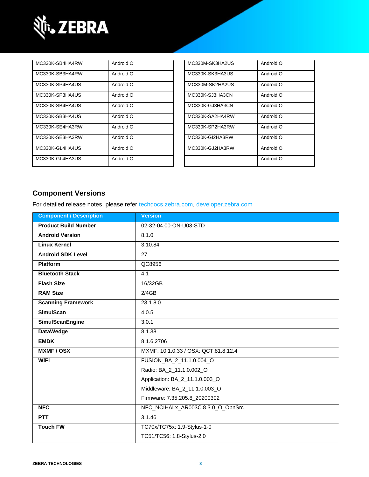

| MC330K-SB4HA4RW | Android O | MC330M-SK3HA2US | Android O |
|-----------------|-----------|-----------------|-----------|
| MC330K-SB3HA4RW | Android O | MC330K-SK3HA3US | Android O |
| MC330K-SP4HA4US | Android O | MC330M-SK2HA2US | Android O |
| MC330K-SP3HA4US | Android O | MC330K-SJ3HA3CN | Android O |
| MC330K-SB4HA4US | Android O | MC330K-GJ3HA3CN | Android O |
| MC330K-SB3HA4US | Android O | MC330K-SA2HA4RW | Android O |
| MC330K-SE4HA3RW | Android O | MC330K-SP2HA3RW | Android O |
| MC330K-SE3HA3RW | Android O | MC330K-GI2HA3RW | Android O |
| MC330K-GL4HA4US | Android O | MC330K-GJ2HA3RW | Android O |
| MC330K-GL4HA3US | Android O |                 | Android O |

| MC330M-SK3HA2US | O bionbnA |
|-----------------|-----------|
| MC330K-SK3HA3US | Android O |
| MC330M-SK2HA2US | Android O |
| MC330K-SJ3HA3CN | Android O |
| MC330K-GJ3HA3CN | Android O |
| MC330K-SA2HA4RW | Android O |
| MC330K-SP2HA3RW | Android O |
| MC330K-GI2HA3RW | Android O |
| MC330K-GJ2HA3RW | Android O |
|                 | Android O |

### **Component Versions**

For detailed release notes, please refer [techdocs.zebra.com,](https://techdocs.zebra.com/) [developer.zebra.com](https://developer.zebra.com/)

| <b>Component / Description</b> | <b>Version</b>                       |  |
|--------------------------------|--------------------------------------|--|
| <b>Product Build Number</b>    | 02-32-04.00-ON-U03-STD               |  |
| <b>Android Version</b>         | 8.1.0                                |  |
| <b>Linux Kernel</b>            | 3.10.84                              |  |
| <b>Android SDK Level</b>       | 27                                   |  |
| <b>Platform</b>                | QC8956                               |  |
| <b>Bluetooth Stack</b>         | 4.1                                  |  |
| <b>Flash Size</b>              | 16/32GB                              |  |
| <b>RAM Size</b>                | 2/4GB                                |  |
| <b>Scanning Framework</b>      | 23.1.8.0                             |  |
| <b>SimulScan</b>               | 4.0.5                                |  |
| <b>SimulScanEngine</b>         | 3.0.1                                |  |
| <b>DataWedge</b>               | 8.1.38                               |  |
| <b>EMDK</b>                    | 8.1.6.2706                           |  |
| <b>MXMF/OSX</b>                | MXMF: 10.1.0.33 / OSX: QCT.81.8.12.4 |  |
| <b>WiFi</b>                    | FUSION_BA_2_11.1.0.004_O             |  |
|                                | Radio: BA_2_11.1.0.002_O             |  |
|                                | Application: BA_2_11.1.0.003_O       |  |
|                                | Middleware: BA_2_11.1.0.003_O        |  |
|                                | Firmware: 7.35.205.8_20200302        |  |
| <b>NFC</b>                     | NFC_NCIHALx_AR003C.8.3.0_O_OpnSrc    |  |
| <b>PTT</b>                     | 3.1.46                               |  |
| <b>Touch FW</b>                | TC70x/TC75x: 1.9-Stylus-1-0          |  |
|                                | TC51/TC56: 1.8-Stylus-2.0            |  |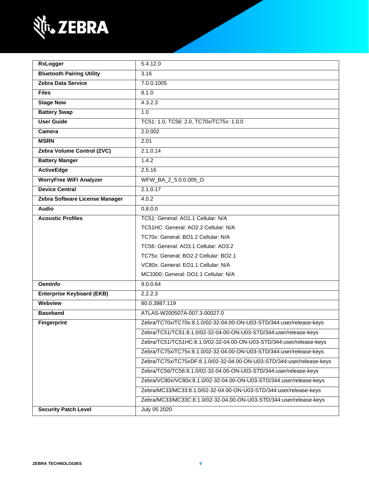

| <b>RxLogger</b>                                                    | 5.4.12.0                                                               |  |
|--------------------------------------------------------------------|------------------------------------------------------------------------|--|
| <b>Bluetooth Pairing Utility</b>                                   | 3.16                                                                   |  |
| <b>Zebra Data Service</b>                                          | 7.0.0.1005                                                             |  |
| <b>Files</b>                                                       | 8.1.0                                                                  |  |
| <b>Stage Now</b>                                                   | 4.3.2.3                                                                |  |
| <b>Battery Swap</b>                                                | 1.0                                                                    |  |
| <b>User Guide</b>                                                  | TC51: 1.0, TC56: 2.0, TC70x/TC75x: 1.0.0                               |  |
| Camera                                                             | 2.0.002                                                                |  |
| <b>MSRN</b>                                                        | 2.01                                                                   |  |
| Zebra Volume Control (ZVC)                                         | 2.1.0.14                                                               |  |
| <b>Battery Manger</b>                                              | 1.4.2                                                                  |  |
| <b>ActiveEdge</b>                                                  | 2.5.16                                                                 |  |
| <b>WorryFree WiFi Analyzer</b>                                     | WFW_BA_2_5.0.0.005_O                                                   |  |
| <b>Device Central</b>                                              | 2.1.0.17                                                               |  |
| Zebra Software License Manager                                     | 4.0.2                                                                  |  |
| <b>Audio</b>                                                       | 0.8.0.0                                                                |  |
| <b>Acoustic Profiles</b>                                           | TC51: General: AO1.1 Cellular: N/A                                     |  |
|                                                                    | TC51HC: General: AO2.2 Cellular: N/A                                   |  |
|                                                                    | TC70x: General: BO1.2 Cellular: N/A                                    |  |
|                                                                    | TC56: General: AO3.1 Cellular: AO3.2                                   |  |
|                                                                    | TC75x: General: BO2.2 Cellular: BO2.1                                  |  |
|                                                                    | VC80x: General: EO1.1 Cellular: N/A                                    |  |
|                                                                    | MC3300: General: DO1.1 Cellular: N/A                                   |  |
| <b>OemInfo</b>                                                     | 9.0.0.64                                                               |  |
| <b>Enterprise Keyboard (EKB)</b>                                   | 2.2.2.3                                                                |  |
| Webview                                                            | 80.0.3987.119                                                          |  |
| <b>Baseband</b>                                                    | ATLAS-W200507A-007.3-00027.0                                           |  |
| <b>Fingerprint</b>                                                 | Zebra/TC70x/TC70x:8.1.0/02-32-04.00-ON-U03-STD/344:user/release-keys   |  |
| Zebra/TC51/TC51:8.1.0/02-32-04.00-ON-U03-STD/344:user/release-keys |                                                                        |  |
|                                                                    | Zebra/TC51/TC51HC:8.1.0/02-32-04.00-ON-U03-STD/344:user/release-keys   |  |
|                                                                    | Zebra/TC75x/TC75x:8.1.0/02-32-04.00-ON-U03-STD/344:user/release-keys   |  |
|                                                                    | Zebra/TC75x/TC75xDF:8.1.0/02-32-04.00-ON-U03-STD/344:user/release-keys |  |
|                                                                    | Zebra/TC56/TC56:8.1.0/02-32-04.00-ON-U03-STD/344:user/release-keys     |  |
|                                                                    | Zebra/VC80x/VC80x:8.1.0/02-32-04.00-ON-U03-STD/344:user/release-keys   |  |
|                                                                    | Zebra/MC33/MC33:8.1.0/02-32-04.00-ON-U03-STD/344:user/release-keys     |  |
|                                                                    | Zebra/MC33/MC33C:8.1.0/02-32-04.00-ON-U03-STD/344:user/release-keys    |  |
| <b>Security Patch Level</b>                                        | July 05 2020                                                           |  |